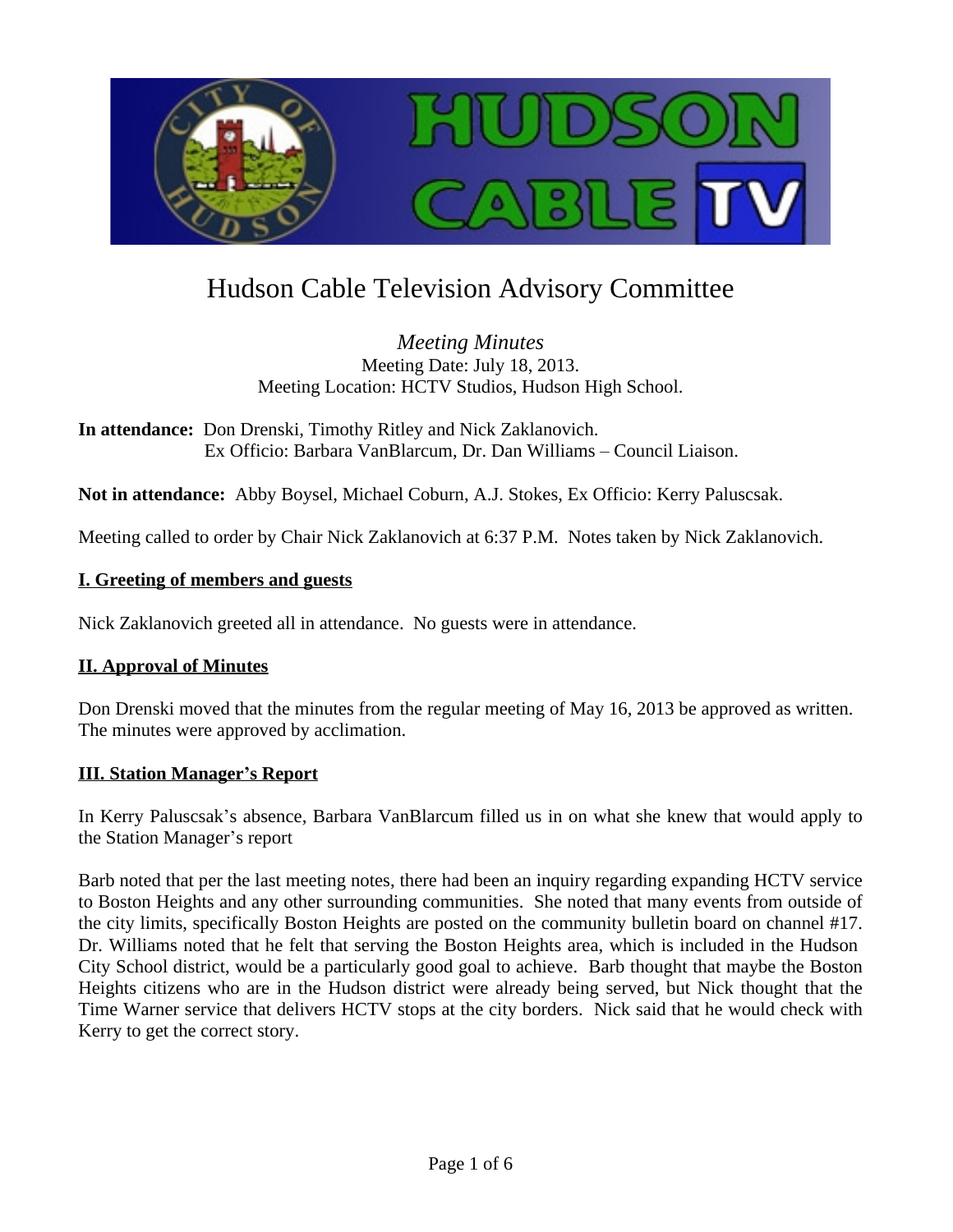

# Hudson Cable Television Advisory Committee

*Meeting Minutes* Meeting Date: July 18, 2013. Meeting Location: HCTV Studios, Hudson High School.

**In attendance:** Don Drenski, Timothy Ritley and Nick Zaklanovich. Ex Officio: Barbara VanBlarcum, Dr. Dan Williams – Council Liaison.

**Not in attendance:** Abby Boysel, Michael Coburn, A.J. Stokes, Ex Officio: Kerry Paluscsak.

Meeting called to order by Chair Nick Zaklanovich at 6:37 P.M. Notes taken by Nick Zaklanovich.

#### **I. Greeting of members and guests**

Nick Zaklanovich greeted all in attendance. No guests were in attendance.

#### **II. Approval of Minutes**

Don Drenski moved that the minutes from the regular meeting of May 16, 2013 be approved as written. The minutes were approved by acclimation.

#### **III. Station Manager's Report**

In Kerry Paluscsak's absence, Barbara VanBlarcum filled us in on what she knew that would apply to the Station Manager's report

Barb noted that per the last meeting notes, there had been an inquiry regarding expanding HCTV service to Boston Heights and any other surrounding communities. She noted that many events from outside of the city limits, specifically Boston Heights are posted on the community bulletin board on channel #17. Dr. Williams noted that he felt that serving the Boston Heights area, which is included in the Hudson City School district, would be a particularly good goal to achieve. Barb thought that maybe the Boston Heights citizens who are in the Hudson district were already being served, but Nick thought that the Time Warner service that delivers HCTV stops at the city borders. Nick said that he would check with Kerry to get the correct story.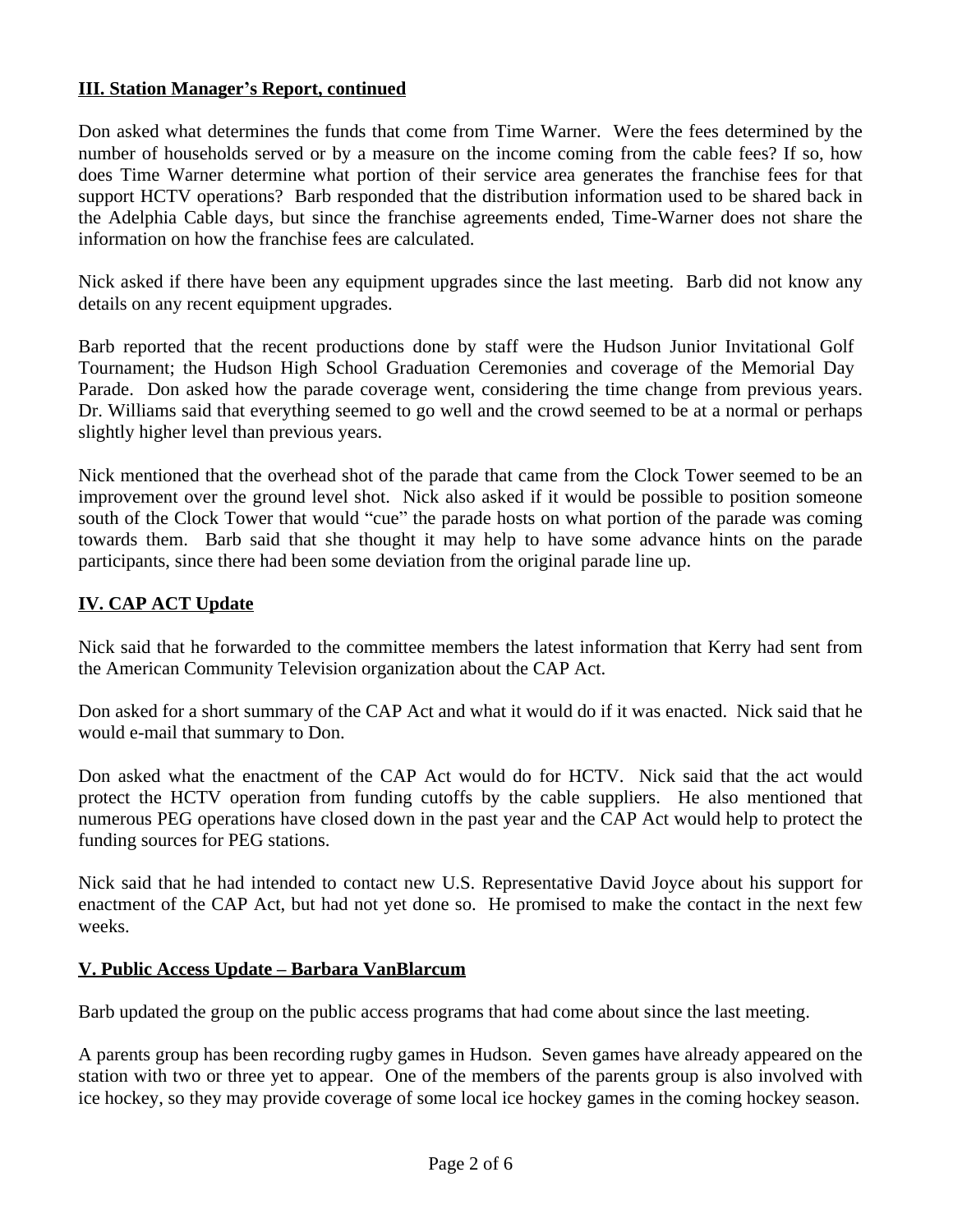#### **III. Station Manager's Report, continued**

Don asked what determines the funds that come from Time Warner. Were the fees determined by the number of households served or by a measure on the income coming from the cable fees? If so, how does Time Warner determine what portion of their service area generates the franchise fees for that support HCTV operations? Barb responded that the distribution information used to be shared back in the Adelphia Cable days, but since the franchise agreements ended, Time-Warner does not share the information on how the franchise fees are calculated.

Nick asked if there have been any equipment upgrades since the last meeting. Barb did not know any details on any recent equipment upgrades.

Barb reported that the recent productions done by staff were the Hudson Junior Invitational Golf Tournament; the Hudson High School Graduation Ceremonies and coverage of the Memorial Day Parade. Don asked how the parade coverage went, considering the time change from previous years. Dr. Williams said that everything seemed to go well and the crowd seemed to be at a normal or perhaps slightly higher level than previous years.

Nick mentioned that the overhead shot of the parade that came from the Clock Tower seemed to be an improvement over the ground level shot. Nick also asked if it would be possible to position someone south of the Clock Tower that would "cue" the parade hosts on what portion of the parade was coming towards them. Barb said that she thought it may help to have some advance hints on the parade participants, since there had been some deviation from the original parade line up.

## **IV. CAP ACT Update**

Nick said that he forwarded to the committee members the latest information that Kerry had sent from the American Community Television organization about the CAP Act.

Don asked for a short summary of the CAP Act and what it would do if it was enacted. Nick said that he would e-mail that summary to Don.

Don asked what the enactment of the CAP Act would do for HCTV. Nick said that the act would protect the HCTV operation from funding cutoffs by the cable suppliers. He also mentioned that numerous PEG operations have closed down in the past year and the CAP Act would help to protect the funding sources for PEG stations.

Nick said that he had intended to contact new U.S. Representative David Joyce about his support for enactment of the CAP Act, but had not yet done so. He promised to make the contact in the next few weeks.

#### **V. Public Access Update – Barbara VanBlarcum**

Barb updated the group on the public access programs that had come about since the last meeting.

A parents group has been recording rugby games in Hudson. Seven games have already appeared on the station with two or three yet to appear. One of the members of the parents group is also involved with ice hockey, so they may provide coverage of some local ice hockey games in the coming hockey season.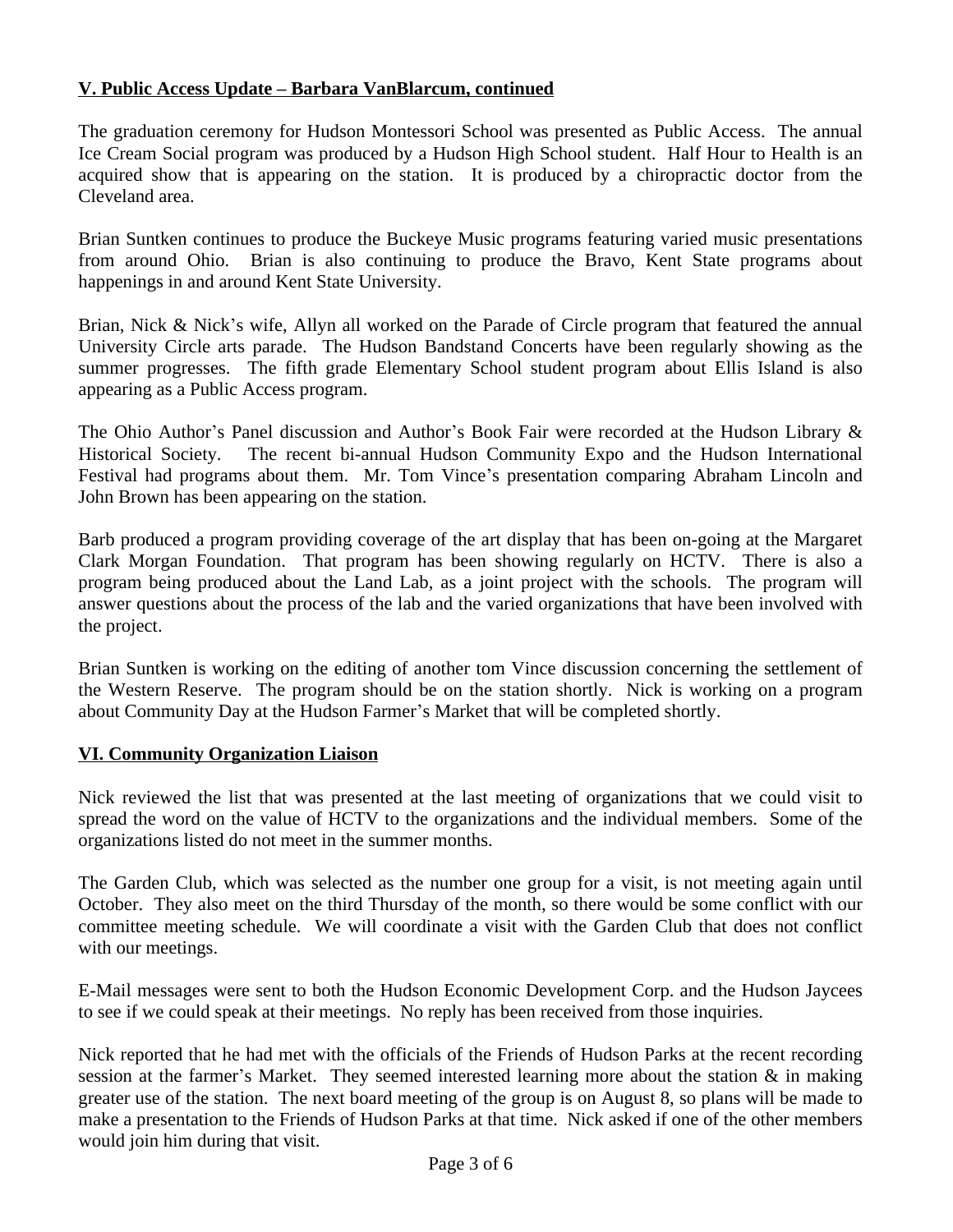## **V. Public Access Update – Barbara VanBlarcum, continued**

The graduation ceremony for Hudson Montessori School was presented as Public Access. The annual Ice Cream Social program was produced by a Hudson High School student. Half Hour to Health is an acquired show that is appearing on the station. It is produced by a chiropractic doctor from the Cleveland area.

Brian Suntken continues to produce the Buckeye Music programs featuring varied music presentations from around Ohio. Brian is also continuing to produce the Bravo, Kent State programs about happenings in and around Kent State University.

Brian, Nick & Nick's wife, Allyn all worked on the Parade of Circle program that featured the annual University Circle arts parade. The Hudson Bandstand Concerts have been regularly showing as the summer progresses. The fifth grade Elementary School student program about Ellis Island is also appearing as a Public Access program.

The Ohio Author's Panel discussion and Author's Book Fair were recorded at the Hudson Library & Historical Society. The recent bi-annual Hudson Community Expo and the Hudson International Festival had programs about them. Mr. Tom Vince's presentation comparing Abraham Lincoln and John Brown has been appearing on the station.

Barb produced a program providing coverage of the art display that has been on-going at the Margaret Clark Morgan Foundation. That program has been showing regularly on HCTV. There is also a program being produced about the Land Lab, as a joint project with the schools. The program will answer questions about the process of the lab and the varied organizations that have been involved with the project.

Brian Suntken is working on the editing of another tom Vince discussion concerning the settlement of the Western Reserve. The program should be on the station shortly. Nick is working on a program about Community Day at the Hudson Farmer's Market that will be completed shortly.

## **VI. Community Organization Liaison**

Nick reviewed the list that was presented at the last meeting of organizations that we could visit to spread the word on the value of HCTV to the organizations and the individual members. Some of the organizations listed do not meet in the summer months.

The Garden Club, which was selected as the number one group for a visit, is not meeting again until October. They also meet on the third Thursday of the month, so there would be some conflict with our committee meeting schedule. We will coordinate a visit with the Garden Club that does not conflict with our meetings.

E-Mail messages were sent to both the Hudson Economic Development Corp. and the Hudson Jaycees to see if we could speak at their meetings. No reply has been received from those inquiries.

Nick reported that he had met with the officials of the Friends of Hudson Parks at the recent recording session at the farmer's Market. They seemed interested learning more about the station  $\&$  in making greater use of the station. The next board meeting of the group is on August 8, so plans will be made to make a presentation to the Friends of Hudson Parks at that time. Nick asked if one of the other members would join him during that visit.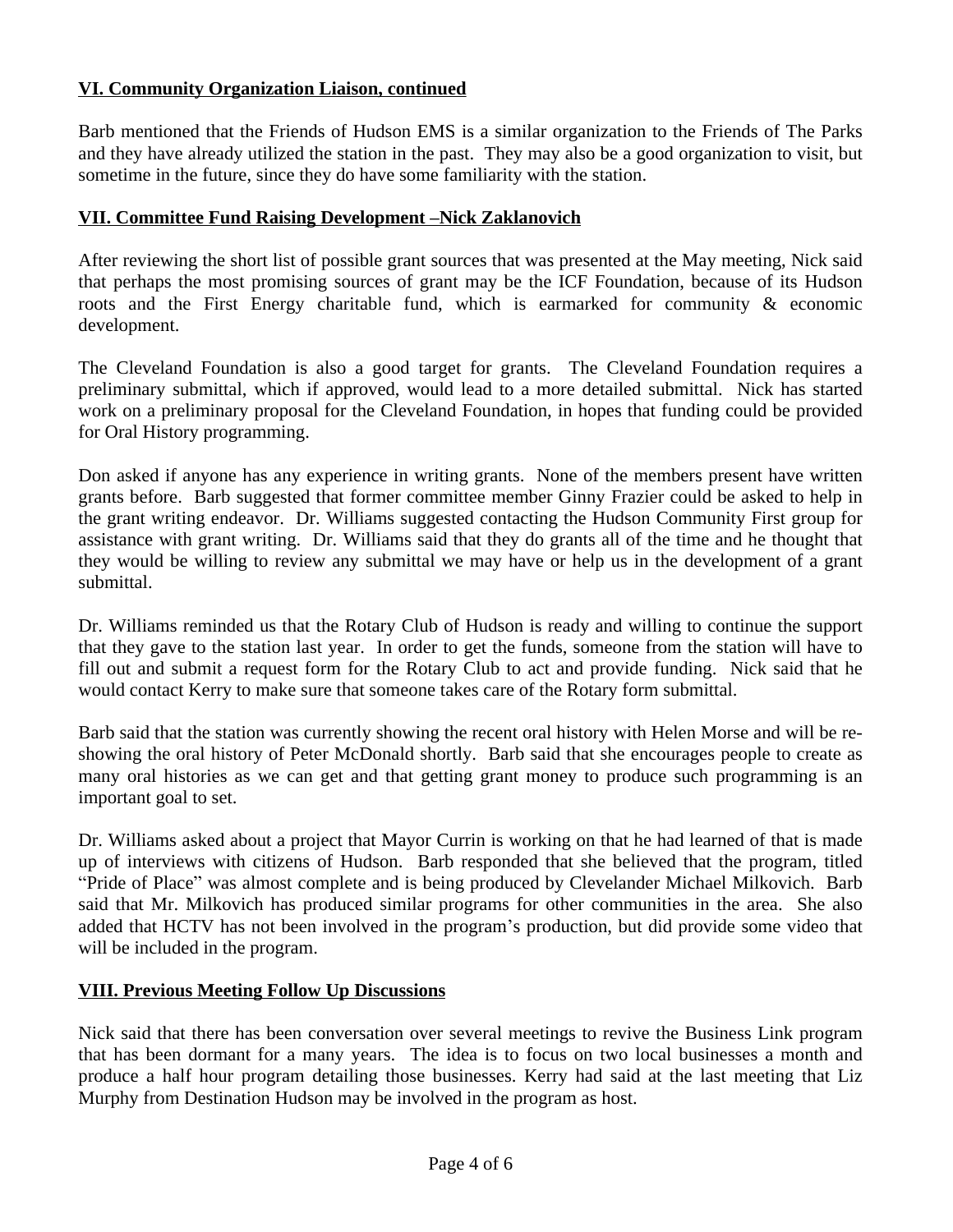### **VI. Community Organization Liaison, continued**

Barb mentioned that the Friends of Hudson EMS is a similar organization to the Friends of The Parks and they have already utilized the station in the past. They may also be a good organization to visit, but sometime in the future, since they do have some familiarity with the station.

#### **VII. Committee Fund Raising Development –Nick Zaklanovich**

After reviewing the short list of possible grant sources that was presented at the May meeting, Nick said that perhaps the most promising sources of grant may be the ICF Foundation, because of its Hudson roots and the First Energy charitable fund, which is earmarked for community & economic development.

The Cleveland Foundation is also a good target for grants. The Cleveland Foundation requires a preliminary submittal, which if approved, would lead to a more detailed submittal. Nick has started work on a preliminary proposal for the Cleveland Foundation, in hopes that funding could be provided for Oral History programming.

Don asked if anyone has any experience in writing grants. None of the members present have written grants before. Barb suggested that former committee member Ginny Frazier could be asked to help in the grant writing endeavor. Dr. Williams suggested contacting the Hudson Community First group for assistance with grant writing. Dr. Williams said that they do grants all of the time and he thought that they would be willing to review any submittal we may have or help us in the development of a grant submittal.

Dr. Williams reminded us that the Rotary Club of Hudson is ready and willing to continue the support that they gave to the station last year. In order to get the funds, someone from the station will have to fill out and submit a request form for the Rotary Club to act and provide funding. Nick said that he would contact Kerry to make sure that someone takes care of the Rotary form submittal.

Barb said that the station was currently showing the recent oral history with Helen Morse and will be reshowing the oral history of Peter McDonald shortly. Barb said that she encourages people to create as many oral histories as we can get and that getting grant money to produce such programming is an important goal to set.

Dr. Williams asked about a project that Mayor Currin is working on that he had learned of that is made up of interviews with citizens of Hudson. Barb responded that she believed that the program, titled "Pride of Place" was almost complete and is being produced by Clevelander Michael Milkovich. Barb said that Mr. Milkovich has produced similar programs for other communities in the area. She also added that HCTV has not been involved in the program's production, but did provide some video that will be included in the program.

#### **VIII. Previous Meeting Follow Up Discussions**

Nick said that there has been conversation over several meetings to revive the Business Link program that has been dormant for a many years. The idea is to focus on two local businesses a month and produce a half hour program detailing those businesses. Kerry had said at the last meeting that Liz Murphy from Destination Hudson may be involved in the program as host.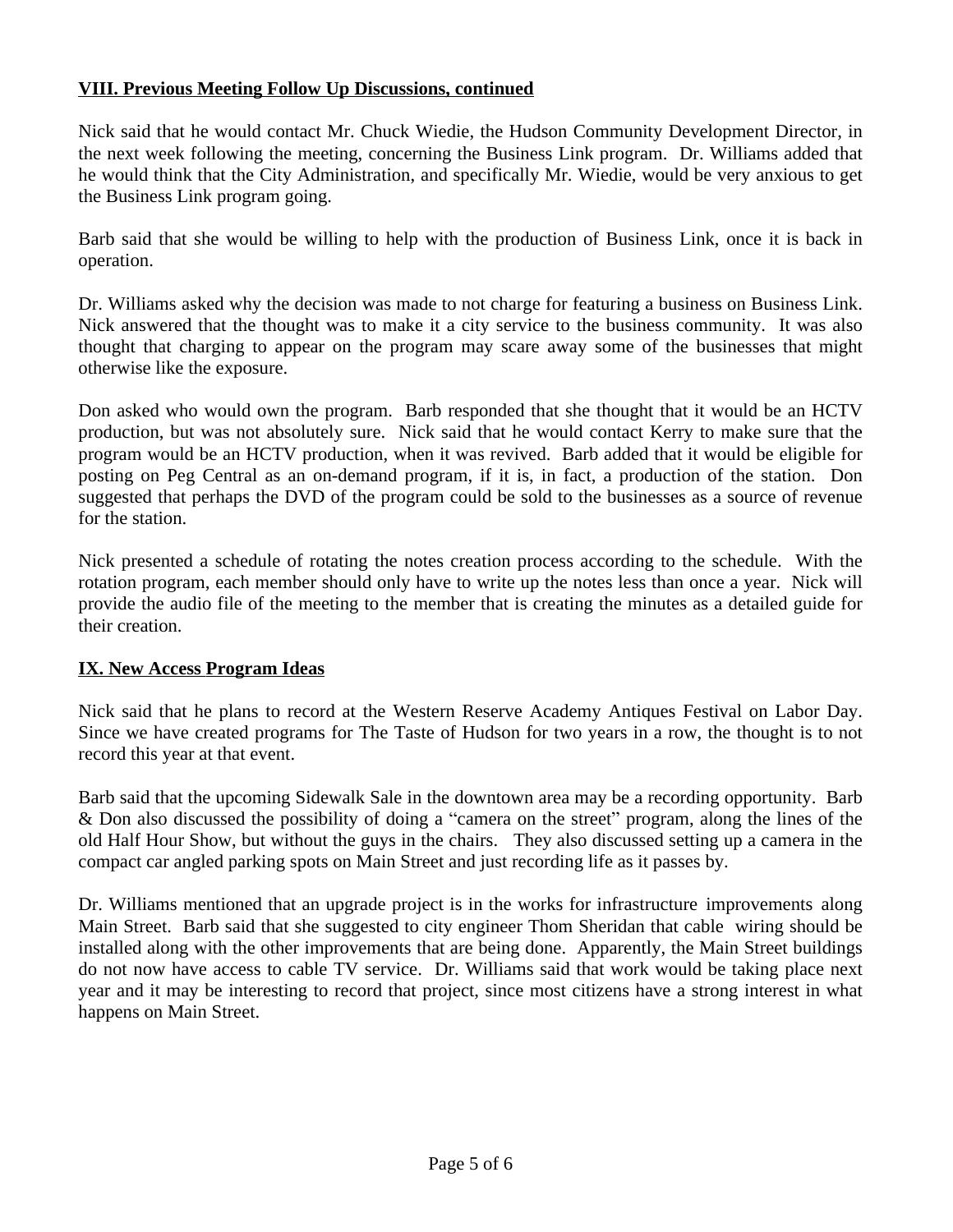### **VIII. Previous Meeting Follow Up Discussions, continued**

Nick said that he would contact Mr. Chuck Wiedie, the Hudson Community Development Director, in the next week following the meeting, concerning the Business Link program. Dr. Williams added that he would think that the City Administration, and specifically Mr. Wiedie, would be very anxious to get the Business Link program going.

Barb said that she would be willing to help with the production of Business Link, once it is back in operation.

Dr. Williams asked why the decision was made to not charge for featuring a business on Business Link. Nick answered that the thought was to make it a city service to the business community. It was also thought that charging to appear on the program may scare away some of the businesses that might otherwise like the exposure.

Don asked who would own the program. Barb responded that she thought that it would be an HCTV production, but was not absolutely sure. Nick said that he would contact Kerry to make sure that the program would be an HCTV production, when it was revived. Barb added that it would be eligible for posting on Peg Central as an on-demand program, if it is, in fact, a production of the station. Don suggested that perhaps the DVD of the program could be sold to the businesses as a source of revenue for the station.

Nick presented a schedule of rotating the notes creation process according to the schedule. With the rotation program, each member should only have to write up the notes less than once a year. Nick will provide the audio file of the meeting to the member that is creating the minutes as a detailed guide for their creation.

## **IX. New Access Program Ideas**

Nick said that he plans to record at the Western Reserve Academy Antiques Festival on Labor Day. Since we have created programs for The Taste of Hudson for two years in a row, the thought is to not record this year at that event.

Barb said that the upcoming Sidewalk Sale in the downtown area may be a recording opportunity. Barb & Don also discussed the possibility of doing a "camera on the street" program, along the lines of the old Half Hour Show, but without the guys in the chairs. They also discussed setting up a camera in the compact car angled parking spots on Main Street and just recording life as it passes by.

Dr. Williams mentioned that an upgrade project is in the works for infrastructure improvements along Main Street. Barb said that she suggested to city engineer Thom Sheridan that cable wiring should be installed along with the other improvements that are being done. Apparently, the Main Street buildings do not now have access to cable TV service. Dr. Williams said that work would be taking place next year and it may be interesting to record that project, since most citizens have a strong interest in what happens on Main Street.